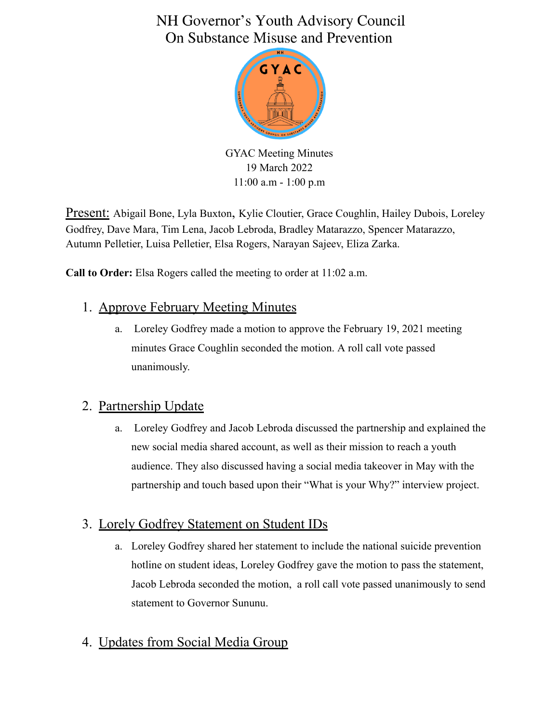# NH Governor's Youth Advisory Council On Substance Misuse and Prevention



GYAC Meeting Minutes 19 March 2022 11:00 a.m - 1:00 p.m

Present: Abigail Bone, Lyla Buxton, Kylie Cloutier, Grace Coughlin, Hailey Dubois, Loreley Godfrey, Dave Mara, Tim Lena, Jacob Lebroda, Bradley Matarazzo, Spencer Matarazzo, Autumn Pelletier, Luisa Pelletier, Elsa Rogers, Narayan Sajeev, Eliza Zarka.

**Call to Order:** Elsa Rogers called the meeting to order at 11:02 a.m.

### 1. Approve February Meeting Minutes

a. Loreley Godfrey made a motion to approve the February 19, 2021 meeting minutes Grace Coughlin seconded the motion. A roll call vote passed unanimously.

#### 2. Partnership Update

a. Loreley Godfrey and Jacob Lebroda discussed the partnership and explained the new social media shared account, as well as their mission to reach a youth audience. They also discussed having a social media takeover in May with the partnership and touch based upon their "What is your Why?" interview project.

#### 3. Lorely Godfrey Statement on Student IDs

a. Loreley Godfrey shared her statement to include the national suicide prevention hotline on student ideas, Loreley Godfrey gave the motion to pass the statement, Jacob Lebroda seconded the motion, a roll call vote passed unanimously to send statement to Governor Sununu.

## 4. Updates from Social Media Group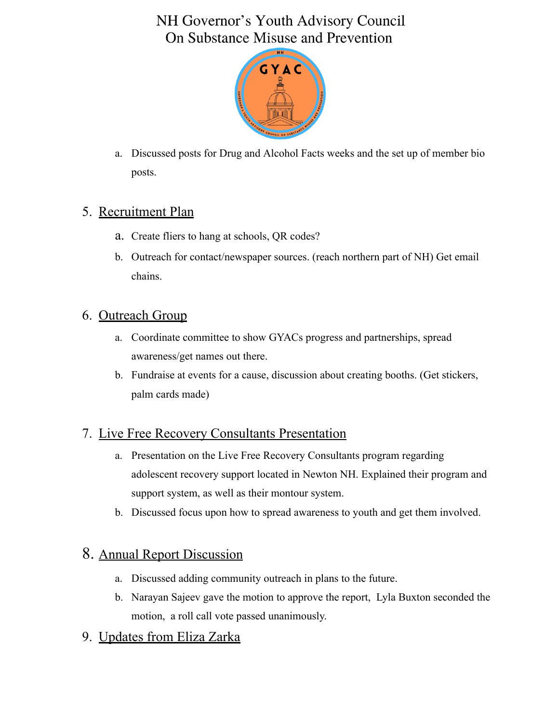# NH Governor's Youth Advisory Council On Substance Misuse and Prevention



a. Discussed posts for Drug and Alcohol Facts weeks and the set up of member bio posts.

### 5. Recruitment Plan

- a. Create fliers to hang at schools, QR codes?
- b. Outreach for contact/newspaper sources. (reach northern part of NH) Get email chains.

### 6. Outreach Group

- a. Coordinate committee to show GYACs progress and partnerships, spread awareness/get names out there.
- b. Fundraise at events for a cause, discussion about creating booths. (Get stickers, palm cards made)

## 7. Live Free Recovery Consultants Presentation

- a. Presentation on the Live Free Recovery Consultants program regarding adolescent recovery support located in Newton NH. Explained their program and support system, as well as their montour system.
- b. Discussed focus upon how to spread awareness to youth and get them involved.

## 8. Annual Report Discussion

- a. Discussed adding community outreach in plans to the future.
- b. Narayan Sajeev gave the motion to approve the report, Lyla Buxton seconded the motion, a roll call vote passed unanimously.

## 9. Updates from Eliza Zarka